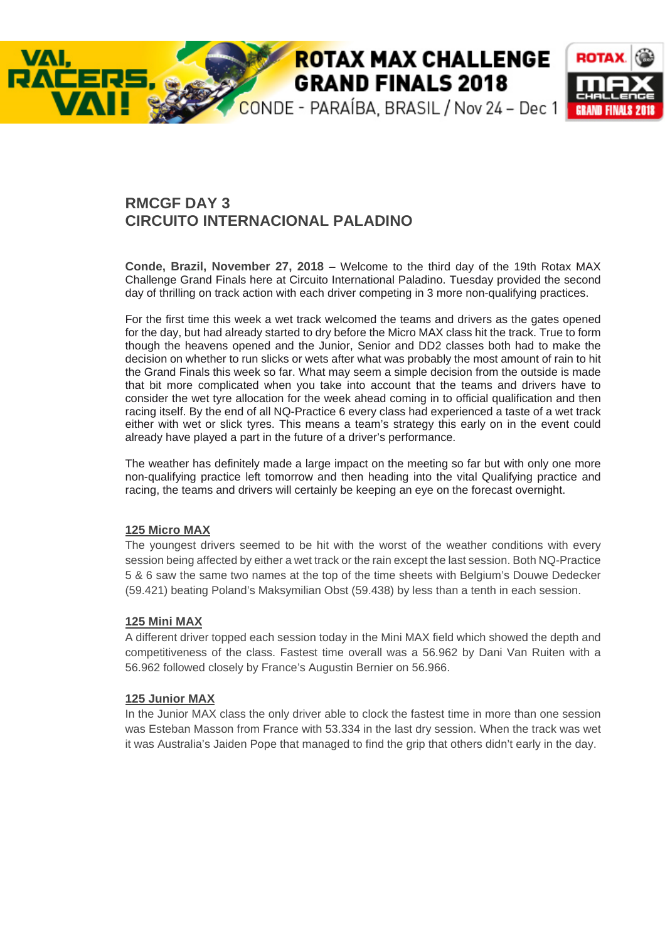# **ROTAX MAX CHALLENGE GRAND FINALS 2018**



## **RMCGF DAY 3 CIRCUITO INTERNACIONAL PALADINO**

**Conde, Brazil, November 27, 2018** – Welcome to the third day of the 19th Rotax MAX Challenge Grand Finals here at Circuito International Paladino. Tuesday provided the second day of thrilling on track action with each driver competing in 3 more non-qualifying practices.

For the first time this week a wet track welcomed the teams and drivers as the gates opened for the day, but had already started to dry before the Micro MAX class hit the track. True to form though the heavens opened and the Junior, Senior and DD2 classes both had to make the decision on whether to run slicks or wets after what was probably the most amount of rain to hit the Grand Finals this week so far. What may seem a simple decision from the outside is made that bit more complicated when you take into account that the teams and drivers have to consider the wet tyre allocation for the week ahead coming in to official qualification and then racing itself. By the end of all NQ-Practice 6 every class had experienced a taste of a wet track either with wet or slick tyres. This means a team's strategy this early on in the event could already have played a part in the future of a driver's performance.

The weather has definitely made a large impact on the meeting so far but with only one more non-qualifying practice left tomorrow and then heading into the vital Qualifying practice and racing, the teams and drivers will certainly be keeping an eye on the forecast overnight.

#### **125 Micro MAX**

VAI.

The youngest drivers seemed to be hit with the worst of the weather conditions with every session being affected by either a wet track or the rain except the last session. Both NQ-Practice 5 & 6 saw the same two names at the top of the time sheets with Belgium's Douwe Dedecker (59.421) beating Poland's Maksymilian Obst (59.438) by less than a tenth in each session.

### **125 Mini MAX**

A different driver topped each session today in the Mini MAX field which showed the depth and competitiveness of the class. Fastest time overall was a 56.962 by Dani Van Ruiten with a 56.962 followed closely by France's Augustin Bernier on 56.966.

#### **125 Junior MAX**

In the Junior MAX class the only driver able to clock the fastest time in more than one session was Esteban Masson from France with 53.334 in the last dry session. When the track was wet it was Australia's Jaiden Pope that managed to find the grip that others didn't early in the day.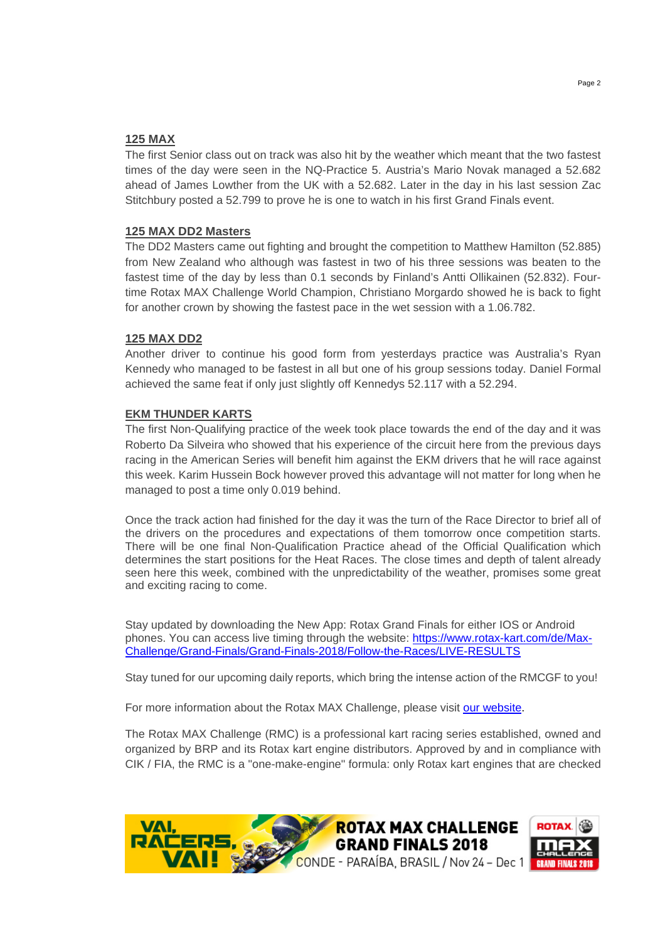#### **125 MAX**

The first Senior class out on track was also hit by the weather which meant that the two fastest times of the day were seen in the NQ-Practice 5. Austria's Mario Novak managed a 52.682 ahead of James Lowther from the UK with a 52.682. Later in the day in his last session Zac Stitchbury posted a 52.799 to prove he is one to watch in his first Grand Finals event.

#### **125 MAX DD2 Masters**

The DD2 Masters came out fighting and brought the competition to Matthew Hamilton (52.885) from New Zealand who although was fastest in two of his three sessions was beaten to the fastest time of the day by less than 0.1 seconds by Finland's Antti Ollikainen (52.832). Fourtime Rotax MAX Challenge World Champion, Christiano Morgardo showed he is back to fight for another crown by showing the fastest pace in the wet session with a 1.06.782.

#### **125 MAX DD2**

Another driver to continue his good form from yesterdays practice was Australia's Ryan Kennedy who managed to be fastest in all but one of his group sessions today. Daniel Formal achieved the same feat if only just slightly off Kennedys 52.117 with a 52.294.

#### **EKM THUNDER KARTS**

The first Non-Qualifying practice of the week took place towards the end of the day and it was Roberto Da Silveira who showed that his experience of the circuit here from the previous days racing in the American Series will benefit him against the EKM drivers that he will race against this week. Karim Hussein Bock however proved this advantage will not matter for long when he managed to post a time only 0.019 behind.

Once the track action had finished for the day it was the turn of the Race Director to brief all of the drivers on the procedures and expectations of them tomorrow once competition starts. There will be one final Non-Qualification Practice ahead of the Official Qualification which determines the start positions for the Heat Races. The close times and depth of talent already seen here this week, combined with the unpredictability of the weather, promises some great and exciting racing to come.

Stay updated by downloading the New App: Rotax Grand Finals for either IOS or Android phones. You can access live timing through the website: https://www.rotax-kart.com/de/Max-Challenge/Grand-Finals/Grand-Finals-2018/Follow-the-Races/LIVE-RESULTS

Stay tuned for our upcoming daily reports, which bring the intense action of the RMCGF to you!

For more information about the Rotax MAX Challenge, please visit our website.

The Rotax MAX Challenge (RMC) is a professional kart racing series established, owned and organized by BRP and its Rotax kart engine distributors. Approved by and in compliance with CIK / FIA, the RMC is a "one-make-engine" formula: only Rotax kart engines that are checked